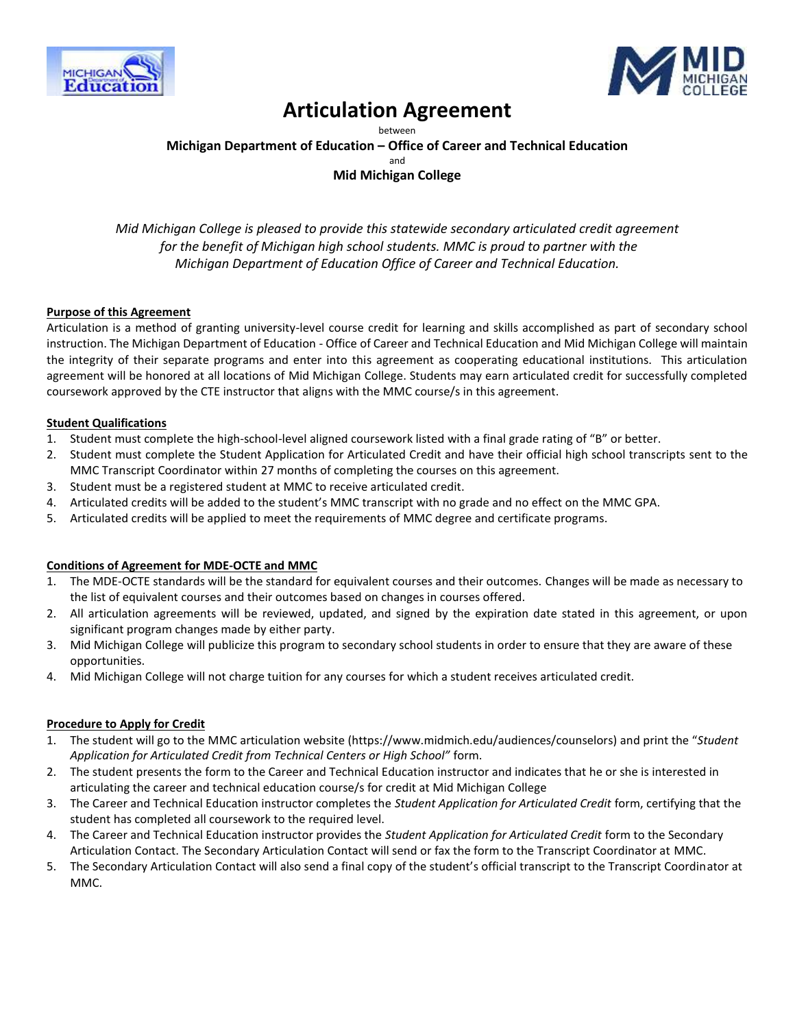



## **Articulation Agreement**

between **Michigan Department of Education – Office of Career and Technical Education** and **Mid Michigan College**

*Mid Michigan College is pleased to provide this statewide secondary articulated credit agreement for the benefit of Michigan high school students. MMC is proud to partner with the Michigan Department of Education Office of Career and Technical Education.*

#### **Purpose of this Agreement**

Articulation is a method of granting university-level course credit for learning and skills accomplished as part of secondary school instruction. The Michigan Department of Education - Office of Career and Technical Education and Mid Michigan College will maintain the integrity of their separate programs and enter into this agreement as cooperating educational institutions. This articulation agreement will be honored at all locations of Mid Michigan College. Students may earn articulated credit for successfully completed coursework approved by the CTE instructor that aligns with the MMC course/s in this agreement.

#### **Student Qualifications**

- 1. Student must complete the high-school-level aligned coursework listed with a final grade rating of "B" or better.
- 2. Student must complete the Student Application for Articulated Credit and have their official high school transcripts sent to the MMC Transcript Coordinator within 27 months of completing the courses on this agreement.
- 3. Student must be a registered student at MMC to receive articulated credit.
- 4. Articulated credits will be added to the student's MMC transcript with no grade and no effect on the MMC GPA.
- 5. Articulated credits will be applied to meet the requirements of MMC degree and certificate programs.

#### **Conditions of Agreement for MDE-OCTE and MMC**

- 1. The MDE-OCTE standards will be the standard for equivalent courses and their outcomes. Changes will be made as necessary to the list of equivalent courses and their outcomes based on changes in courses offered.
- 2. All articulation agreements will be reviewed, updated, and signed by the expiration date stated in this agreement, or upon significant program changes made by either party.
- 3. Mid Michigan College will publicize this program to secondary school students in order to ensure that they are aware of these opportunities.
- 4. Mid Michigan College will not charge tuition for any courses for which a student receives articulated credit.

#### **Procedure to Apply for Credit**

- 1. The student will go to the MMC articulation website (https://www.midmich.edu/audiences/counselors) and print the "*Student Application for Articulated Credit from Technical Centers or High School"* form.
- 2. The student presents the form to the Career and Technical Education instructor and indicates that he or she is interested in articulating the career and technical education course/s for credit at Mid Michigan College
- 3. The Career and Technical Education instructor completes the *Student Application for Articulated Credit* form, certifying that the student has completed all coursework to the required level.
- 4. The Career and Technical Education instructor provides the *Student Application for Articulated Credit* form to the Secondary Articulation Contact. The Secondary Articulation Contact will send or fax the form to the Transcript Coordinator at MMC.
- 5. The Secondary Articulation Contact will also send a final copy of the student's official transcript to the Transcript Coordinator at MMC.